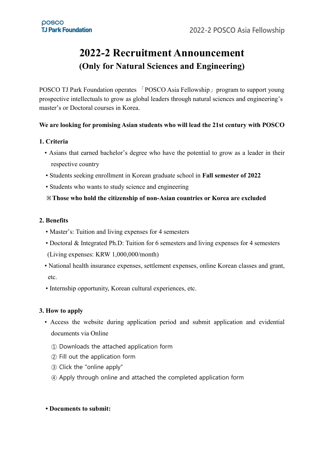# **2022-2 Recruitment Announcement (Only for Natural Sciences and Engineering)**

POSCO TJ Park Foundation operates 「POSCO Asia Fellowship」 program to support young prospective intellectuals to grow as global leaders through natural sciences and engineering's master's or Doctoral courses in Korea.

### **We are looking for promising Asian students who will lead the 21st century with POSCO**

#### **1. Criteria**

- Asians that earned bachelor's degree who have the potential to grow as a leader in their respective country
- Students seeking enrollment in Korean graduate school in **Fall semester of 2022**
- Students who wants to study science and engineering

#### **※Those who hold the citizenship of non-Asian countries or Korea are excluded**

#### **2. Benefits**

- Master's: Tuition and living expenses for 4 semesters
- Doctoral & Integrated Ph.D: Tuition for 6 semesters and living expenses for 4 semesters (Living expenses: KRW 1,000,000/month)
- National health insurance expenses, settlement expenses, online Korean classes and grant, etc.
- Internship opportunity, Korean cultural experiences, etc.

#### **3. How to apply**

- Access the website during application period and submit application and evidential documents via Online
	- ① Downloads the attached application form
	- ② Fill out the application form
	- ③ Click the "online apply"
	- ④ Apply through online and attached the completed application form

#### **• Documents to submit:**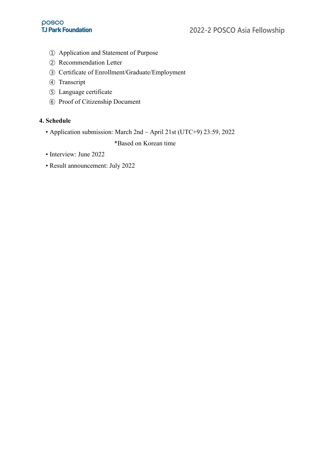- ① Application and Statement of Purpose
- ② Recommendation Letter
- ③ Certificate of Enrollment/Graduate/Employment
- ④ Transcript
- ⑤ Language certificate
- ⑥ Proof of Citizenship Document

### **4. Schedule**

• Application submission: March 2nd ~ April 21st (UTC+9) 23:59, 2022

\*Based on Korean time

- Interview: June 2022
- Result announcement: July 2022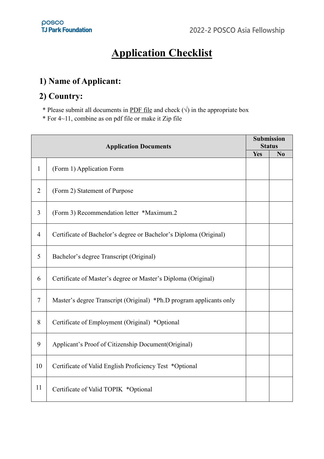# **Application Checklist**

# **1) Name of Applicant:**

# **2) Country:**

\* Please submit all documents in PDF file and check  $(\sqrt{})$  in the appropriate box

\* For 4~11, combine as on pdf file or make it Zip file

| <b>Application Documents</b> |                                                                     |     | <b>Submission</b><br><b>Status</b> |  |
|------------------------------|---------------------------------------------------------------------|-----|------------------------------------|--|
|                              |                                                                     |     | N <sub>0</sub>                     |  |
| $\mathbf{1}$                 | (Form 1) Application Form                                           | Yes |                                    |  |
| $\overline{2}$               | (Form 2) Statement of Purpose                                       |     |                                    |  |
| 3                            | (Form 3) Recommendation letter *Maximum.2                           |     |                                    |  |
| $\overline{4}$               | Certificate of Bachelor's degree or Bachelor's Diploma (Original)   |     |                                    |  |
| 5                            | Bachelor's degree Transcript (Original)                             |     |                                    |  |
| 6                            | Certificate of Master's degree or Master's Diploma (Original)       |     |                                    |  |
| $\tau$                       | Master's degree Transcript (Original) *Ph.D program applicants only |     |                                    |  |
| 8                            | Certificate of Employment (Original) *Optional                      |     |                                    |  |
| 9                            | Applicant's Proof of Citizenship Document(Original)                 |     |                                    |  |
| 10                           | Certificate of Valid English Proficiency Test *Optional             |     |                                    |  |
| 11                           | Certificate of Valid TOPIK *Optional                                |     |                                    |  |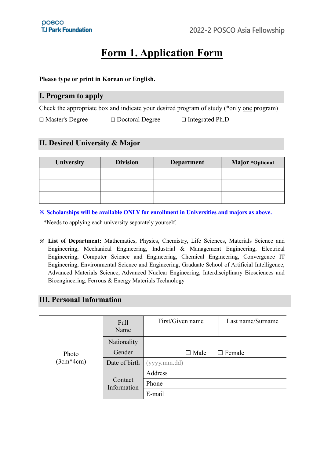# **Form 1. Application Form**

#### **Please type or print in Korean or English.**

### **Ⅰ. Program to apply**

Check the appropriate box and indicate your desired program of study (\*only one program)

| □ Master's Degree | $\Box$ Doctoral Degree | $\Box$ Integrated Ph.D |
|-------------------|------------------------|------------------------|
|-------------------|------------------------|------------------------|

## **Ⅱ. Desired University & Major**

| University | <b>Division</b> | <b>Department</b> | Major *Optional |  |
|------------|-----------------|-------------------|-----------------|--|
|            |                 |                   |                 |  |
|            |                 |                   |                 |  |
|            |                 |                   |                 |  |

**※ Scholarships will be available ONLY for enrollment in Universities and majors as above.** 

\*Needs to applying each university separately yourself.

**※ List of Department:** Mathematics, Physics, Chemistry, Life Sciences, Materials Science and Engineering, Mechanical Engineering, Industrial & Management Engineering, Electrical Engineering, Computer Science and Engineering, Chemical Engineering, Convergence IT Engineering, Environmental Science and Engineering, Graduate School of Artificial Intelligence, Advanced Materials Science, Advanced Nuclear Engineering, Interdisciplinary Biosciences and Bioengineering, Ferrous & Energy Materials Technology

## **Ⅲ. Personal Information**

|             | Full                   | First/Given name | Last name/Surname |
|-------------|------------------------|------------------|-------------------|
|             | Name                   |                  |                   |
|             | Nationality            |                  |                   |
| Photo       | Gender                 | $\square$ Male   | $\Box$ Female     |
| $(3cm*4cm)$ | Date of birth          | (yyyy.mm.dd)     |                   |
|             |                        | Address          |                   |
|             | Contact<br>Information | Phone            |                   |
|             |                        | E-mail           |                   |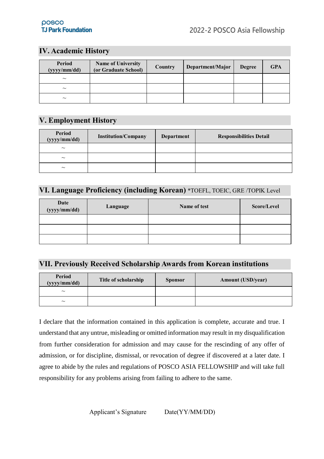# **Ⅳ. Academic History**

| Period<br>(yyyy/mm/dd) | <b>Name of University</b><br>(or Graduate School) | Country | Department/Major | <b>Degree</b> | <b>GPA</b> |
|------------------------|---------------------------------------------------|---------|------------------|---------------|------------|
| $\sim$                 |                                                   |         |                  |               |            |
| $\sim$                 |                                                   |         |                  |               |            |
| $\sim$                 |                                                   |         |                  |               |            |

# **Ⅴ. Employment History**

| Period<br>(yyyy/mm/dd) | <b>Institution/Company</b> | Department | <b>Responsibilities Detail</b> |
|------------------------|----------------------------|------------|--------------------------------|
| $\sim$                 |                            |            |                                |
| $\sim$                 |                            |            |                                |
| $\sim$                 |                            |            |                                |

# **Ⅵ. Language Proficiency (including Korean)** \*TOEFL, TOEIC, GRE /TOPIK Level

| Date<br>(yyyy/mm/dd) | Language | Name of test | Score/Level |
|----------------------|----------|--------------|-------------|
|                      |          |              |             |
|                      |          |              |             |
|                      |          |              |             |

### **Ⅶ. Previously Received Scholarship Awards from Korean institutions**

| Period<br>(yyyy/mm/dd) | Title of scholarship | <b>Sponsor</b> | <b>Amount (USD/year)</b> |
|------------------------|----------------------|----------------|--------------------------|
| $\sim$                 |                      |                |                          |
| $\sim$                 |                      |                |                          |

I declare that the information contained in this application is complete, accurate and true. I understand that any untrue, misleading or omitted information may result in my disqualification from further consideration for admission and may cause for the rescinding of any offer of admission, or for discipline, dismissal, or revocation of degree if discovered at a later date. I agree to abide by the rules and regulations of POSCO ASIA FELLOWSHIP and will take full responsibility for any problems arising from failing to adhere to the same.

Applicant's Signature Date(YY/MM/DD)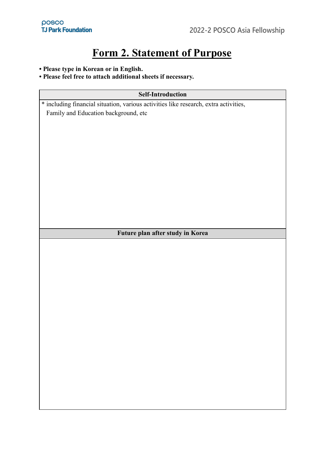# **Form 2. Statement of Purpose**

#### **• Please type in Korean or in English.**

## **• Please feel free to attach additional sheets if necessary.**

## **Self-Introduction**

\* including financial situation, various activities like research, extra activities, Family and Education background, etc

#### **Future plan after study in Korea**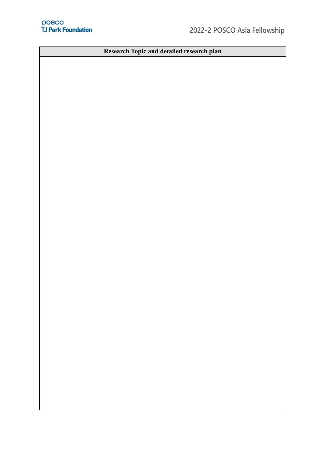**Research Topic and detailed research plan**